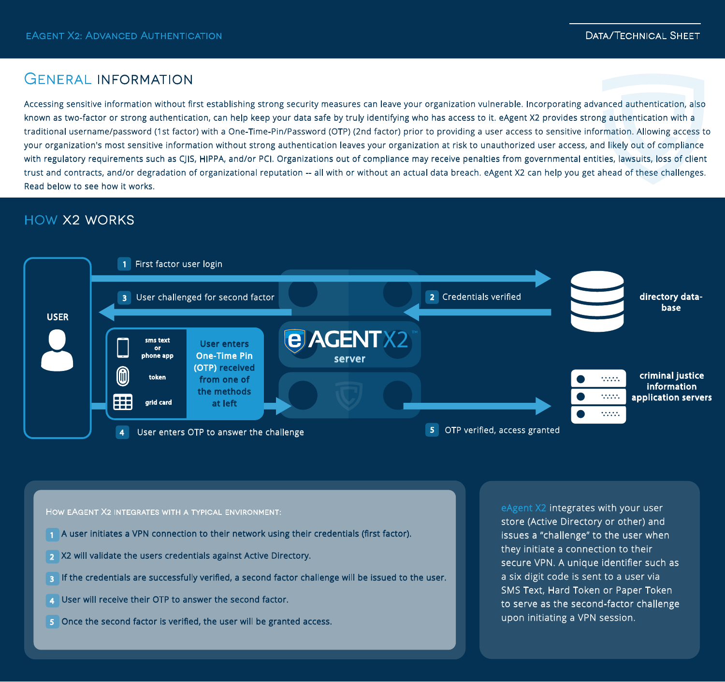## General information

Accessing sensitive information without first establishing strong security measures can leave your organization vulnerable. Incorporating advanced authentication, also known as two-factor or strong authentication, can help keep your data safe by truly identifying who has access to it. eAgent X2 provides strong authentication with a traditional username/password (1st factor) with a One-Time-Pin/Password (OTP) (2nd factor) prior to providing a user access to sensitive information. Allowing access to your organization's most sensitive information without strong authentication leaves your organization at risk to unauthorized user access, and likely out of compliance with regulatory requirements such as CJIS, HIPPA, and/or PCI. Organizations out of compliance may receive penalties from governmental entities, lawsuits, loss of client trust and contracts, and/or degradation of organizational reputation -- all with or without an actual data breach. eAgent X2 can help you get ahead of these challenges. Read below to see how it works.

# how x2 works



How eAgent X2 integrates with a typical environment:

- A user initiates a VPN connection to their network using their credentials (first factor). 1
- X2 will validate the users credentials against Active Directory. 2
- ${\bf s}$  If the credentials are successfully verified, a second factor challenge will be issued to the user.
- User will receive their OTP to answer the second factor. 4
- 5 Once the second factor is verified, the user will be granted access.

eAgent X2 integrates with your user store (Active Directory or other) and issues a "challenge" to the user when they initiate a connection to their secure VPN. A unique identifier such as a six digit code is sent to a user via SMS Text, Hard Token or Paper Token to serve as the second-factor challenge upon initiating a VPN session.